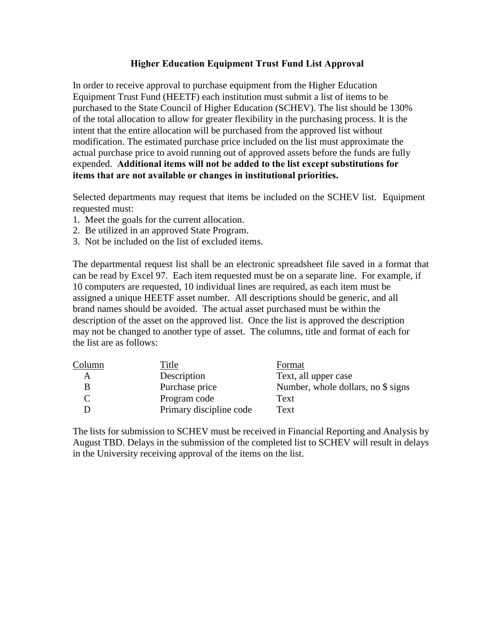## **Higher Education Equipment Trust Fund List Approval**

In order to receive approval to purchase equipment from the Higher Education Equipment Trust Fund (HEETF) each institution must submit a list of items to be purchased to the State Council of Higher Education (SCHEV). The list should be 130% of the total allocation to allow for greater flexibility in the purchasing process. It is the intent that the entire allocation will be purchased from the approved list without modification. The estimated purchase price included on the list must approximate the actual purchase price to avoid running out of approved assets before the funds are fully expended. **Additional items will not be added to the list except substitutions for items that are not available or changes in institutional priorities.** 

Selected departments may request that items be included on the SCHEV list. Equipment requested must:

- 1. Meet the goals for the current allocation.
- 2. Be utilized in an approved State Program.
- 3. Not be included on the list of excluded items.

The departmental request list shall be an electronic spreadsheet file saved in a format that can be read by Excel 97. Each item requested must be on a separate line. For example, if 10 computers are requested, 10 individual lines are required, as each item must be assigned a unique HEETF asset number. All descriptions should be generic, and all brand names should be avoided. The actual asset purchased must be within the description of the asset on the approved list. Once the list is approved the description may not be changed to another type of asset. The columns, title and format of each for the list are as follows:

| <b>Title</b>            | Format                             |
|-------------------------|------------------------------------|
| Description             | Text, all upper case               |
| Purchase price          | Number, whole dollars, no \$ signs |
| Program code            | Text                               |
| Primary discipline code | Text                               |
|                         |                                    |

The lists for submission to SCHEV must be received in Financial Reporting and Analysis by August TBD. Delays in the submission of the completed list to SCHEV will result in delays in the University receiving approval of the items on the list.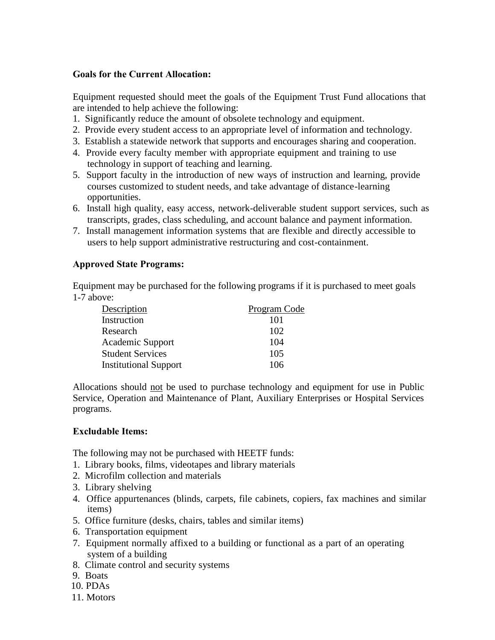#### **Goals for the Current Allocation:**

Equipment requested should meet the goals of the Equipment Trust Fund allocations that are intended to help achieve the following:

- 1. Significantly reduce the amount of obsolete technology and equipment.
- 2. Provide every student access to an appropriate level of information and technology.
- 3. Establish a statewide network that supports and encourages sharing and cooperation.
- 4. Provide every faculty member with appropriate equipment and training to use technology in support of teaching and learning.
- 5. Support faculty in the introduction of new ways of instruction and learning, provide courses customized to student needs, and take advantage of distance-learning opportunities.
- 6. Install high quality, easy access, network-deliverable student support services, such as transcripts, grades, class scheduling, and account balance and payment information.
- 7. Install management information systems that are flexible and directly accessible to users to help support administrative restructuring and cost-containment.

## **Approved State Programs:**

Equipment may be purchased for the following programs if it is purchased to meet goals 1-7 above:

| Description                  | Program Code |
|------------------------------|--------------|
| Instruction                  | 101          |
| Research                     | 102          |
| <b>Academic Support</b>      | 104          |
| <b>Student Services</b>      | 105          |
| <b>Institutional Support</b> | 106          |

Allocations should not be used to purchase technology and equipment for use in Public Service, Operation and Maintenance of Plant, Auxiliary Enterprises or Hospital Services programs.

# **Excludable Items:**

The following may not be purchased with HEETF funds:

- 1. Library books, films, videotapes and library materials
- 2. Microfilm collection and materials
- 3. Library shelving
- 4. Office appurtenances (blinds, carpets, file cabinets, copiers, fax machines and similar items)
- 5. Office furniture (desks, chairs, tables and similar items)
- 6. Transportation equipment
- 7. Equipment normally affixed to a building or functional as a part of an operating system of a building
- 8. Climate control and security systems
- 9. Boats
- 10. PDAs
- 11. Motors